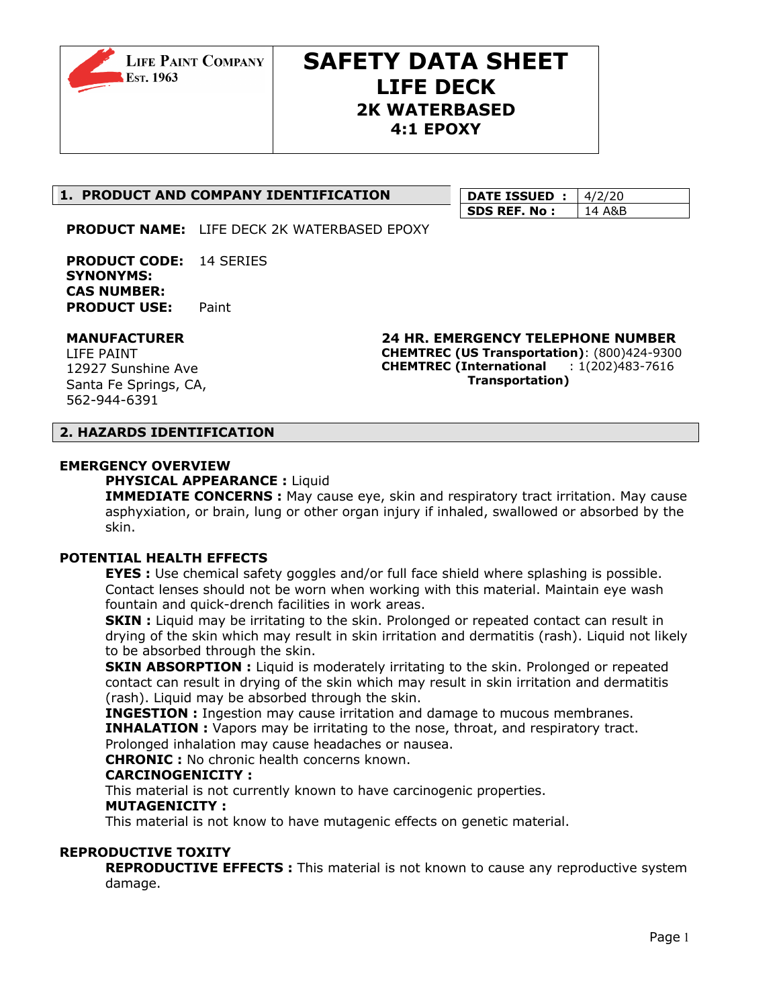

## **1. PRODUCT AND COMPANY IDENTIFICATION**

| <b>DATE ISSUED</b> : | 4/2/20 |
|----------------------|--------|
| SDS REF. No :        |        |

**PRODUCT NAME:** LIFE DECK 2K WATERBASED EPOXY

**PRODUCT CODE:** 14 SERIES **SYNONYMS: CAS NUMBER: PRODUCT USE:** Paint

#### **MANUFACTURER**

LIFE PAINT 12927 Sunshine Ave Santa Fe Springs, CA, 562-944-6391

**24 HR. EMERGENCY TELEPHONE NUMBER CHEMTREC (US Transportation)**: (800)424-9300 **CHEMTREC (International** : 1(202)483-7616  **Transportation)**

#### **2. HAZARDS IDENTIFICATION**

#### **EMERGENCY OVERVIEW**

**PHYSICAL APPEARANCE :** Liquid

**IMMEDIATE CONCERNS :** May cause eye, skin and respiratory tract irritation. May cause asphyxiation, or brain, lung or other organ injury if inhaled, swallowed or absorbed by the skin.

#### **POTENTIAL HEALTH EFFECTS**

**EYES :** Use chemical safety goggles and/or full face shield where splashing is possible. Contact lenses should not be worn when working with this material. Maintain eye wash fountain and quick-drench facilities in work areas.

**SKIN :** Liquid may be irritating to the skin. Prolonged or repeated contact can result in drying of the skin which may result in skin irritation and dermatitis (rash). Liquid not likely to be absorbed through the skin.

**SKIN ABSORPTION :** Liquid is moderately irritating to the skin. Prolonged or repeated contact can result in drying of the skin which may result in skin irritation and dermatitis (rash). Liquid may be absorbed through the skin.

**INGESTION :** Ingestion may cause irritation and damage to mucous membranes. **INHALATION :** Vapors may be irritating to the nose, throat, and respiratory tract. Prolonged inhalation may cause headaches or nausea.

**CHRONIC :** No chronic health concerns known.

#### **CARCINOGENICITY :**

This material is not currently known to have carcinogenic properties.

#### **MUTAGENICITY :**

This material is not know to have mutagenic effects on genetic material.

#### **REPRODUCTIVE TOXITY**

**REPRODUCTIVE EFFECTS :** This material is not known to cause any reproductive system damage.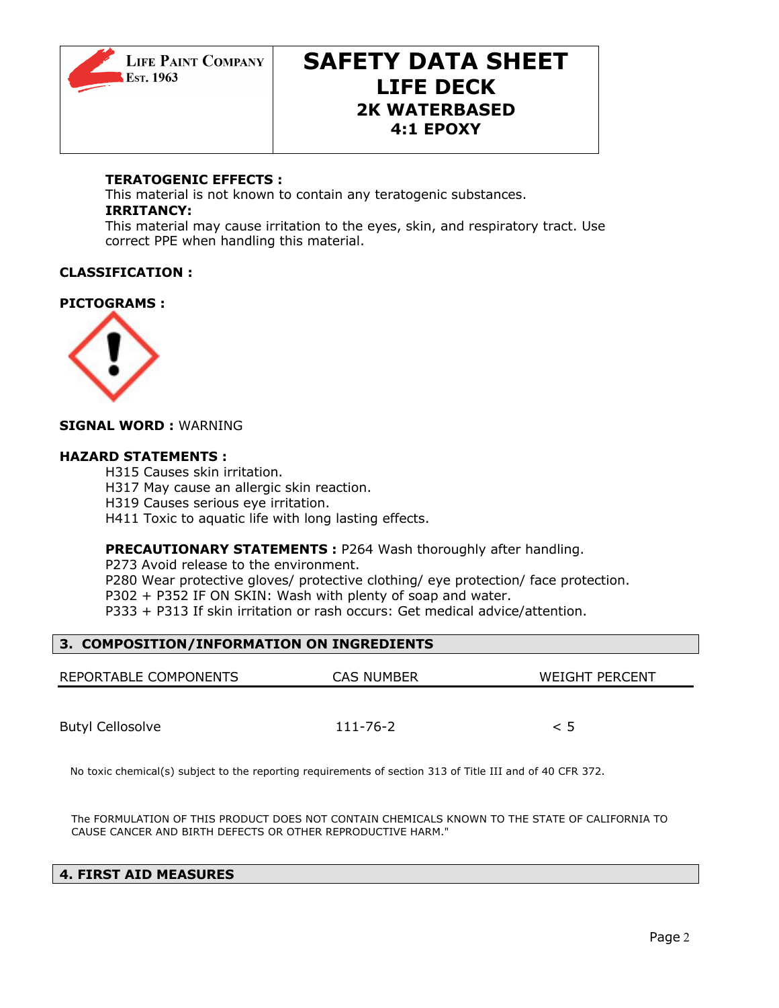

### **TERATOGENIC EFFECTS :**

This material is not known to contain any teratogenic substances. **IRRITANCY:**

This material may cause irritation to the eyes, skin, and respiratory tract. Use correct PPE when handling this material.

## **CLASSIFICATION :**

**PICTOGRAMS :**



## **SIGNAL WORD :** WARNING

#### **HAZARD STATEMENTS :**

H315 Causes skin irritation.

H317 May cause an allergic skin reaction.

H319 Causes serious eye irritation.

H411 Toxic to aquatic life with long lasting effects.

## **PRECAUTIONARY STATEMENTS :** P264 Wash thoroughly after handling.

P273 Avoid release to the environment.

P280 Wear protective gloves/ protective clothing/ eye protection/ face protection.

P302 + P352 IF ON SKIN: Wash with plenty of soap and water.

P333 + P313 If skin irritation or rash occurs: Get medical advice/attention.

## **3. COMPOSITION/INFORMATION ON INGREDIENTS**

| REPORTABLE COMPONENTS   | CAS NUMBER     | <b>WEIGHT PERCENT</b> |
|-------------------------|----------------|-----------------------|
|                         |                |                       |
| <b>Butyl Cellosolve</b> | $111 - 76 - 2$ | $\leq 5$              |

No toxic chemical(s) subject to the reporting requirements of section 313 of Title III and of 40 CFR 372.

The FORMULATION OF THIS PRODUCT DOES NOT CONTAIN CHEMICALS KNOWN TO THE STATE OF CALIFORNIA TO CAUSE CANCER AND BIRTH DEFECTS OR OTHER REPRODUCTIVE HARM."

#### **4. FIRST AID MEASURES**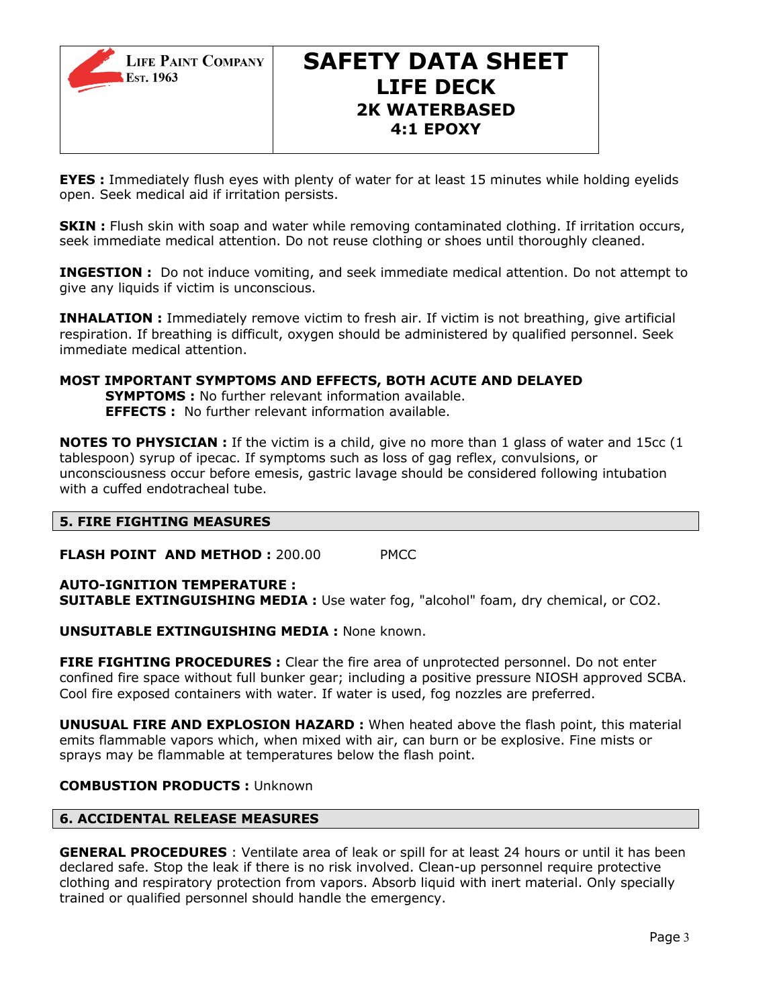

**EYES :** Immediately flush eyes with plenty of water for at least 15 minutes while holding eyelids open. Seek medical aid if irritation persists.

**SKIN :** Flush skin with soap and water while removing contaminated clothing. If irritation occurs, seek immediate medical attention. Do not reuse clothing or shoes until thoroughly cleaned.

**INGESTION :** Do not induce vomiting, and seek immediate medical attention. Do not attempt to give any liquids if victim is unconscious.

**INHALATION** : Immediately remove victim to fresh air. If victim is not breathing, give artificial respiration. If breathing is difficult, oxygen should be administered by qualified personnel. Seek immediate medical attention.

## **MOST IMPORTANT SYMPTOMS AND EFFECTS, BOTH ACUTE AND DELAYED**

**SYMPTOMS :** No further relevant information available. **EFFECTS :** No further relevant information available.

**NOTES TO PHYSICIAN :** If the victim is a child, give no more than 1 glass of water and 15cc (1 tablespoon) syrup of ipecac. If symptoms such as loss of gag reflex, convulsions, or unconsciousness occur before emesis, gastric lavage should be considered following intubation with a cuffed endotracheal tube.

#### **5. FIRE FIGHTING MEASURES**

**FLASH POINT AND METHOD :** 200.00 PMCC

#### **AUTO-IGNITION TEMPERATURE : SUITABLE EXTINGUISHING MEDIA :** Use water fog, "alcohol" foam, dry chemical, or CO2.

**UNSUITABLE EXTINGUISHING MEDIA :** None known.

**FIRE FIGHTING PROCEDURES :** Clear the fire area of unprotected personnel. Do not enter confined fire space without full bunker gear; including a positive pressure NIOSH approved SCBA. Cool fire exposed containers with water. If water is used, fog nozzles are preferred.

**UNUSUAL FIRE AND EXPLOSION HAZARD :** When heated above the flash point, this material emits flammable vapors which, when mixed with air, can burn or be explosive. Fine mists or sprays may be flammable at temperatures below the flash point.

## **COMBUSTION PRODUCTS :** Unknown

## **6. ACCIDENTAL RELEASE MEASURES**

**GENERAL PROCEDURES** : Ventilate area of leak or spill for at least 24 hours or until it has been declared safe. Stop the leak if there is no risk involved. Clean-up personnel require protective clothing and respiratory protection from vapors. Absorb liquid with inert material. Only specially trained or qualified personnel should handle the emergency.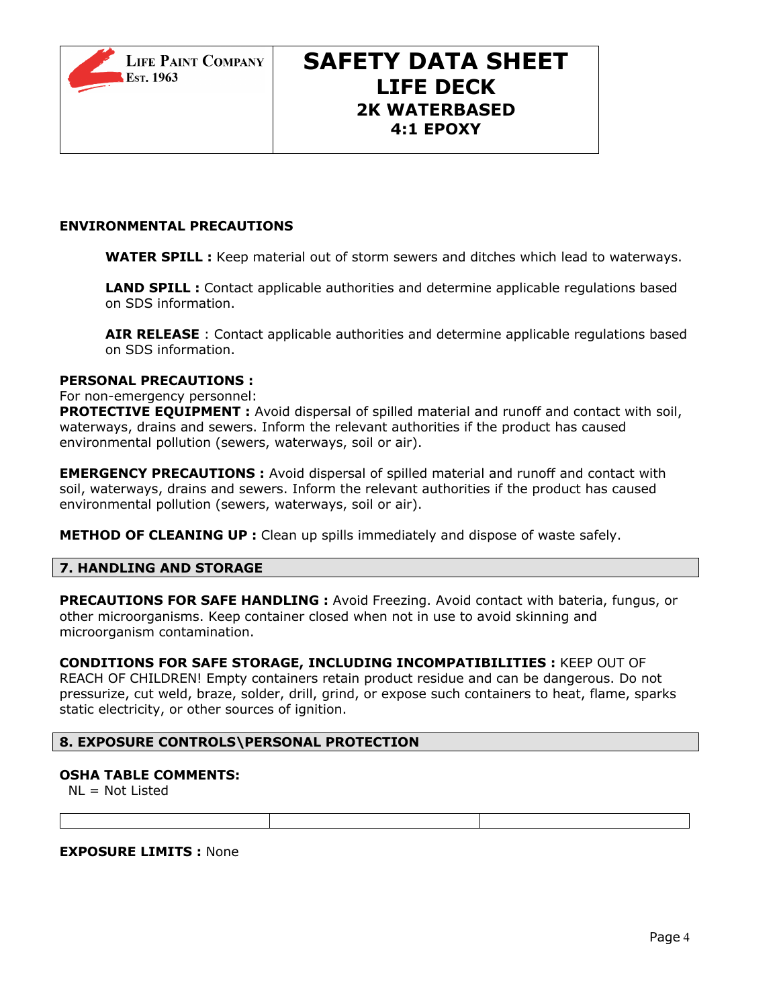

### **ENVIRONMENTAL PRECAUTIONS**

**WATER SPILL :** Keep material out of storm sewers and ditches which lead to waterways.

**LAND SPILL :** Contact applicable authorities and determine applicable regulations based on SDS information.

**AIR RELEASE** : Contact applicable authorities and determine applicable regulations based on SDS information.

#### **PERSONAL PRECAUTIONS :**

#### For non-emergency personnel:

**PROTECTIVE EQUIPMENT :** Avoid dispersal of spilled material and runoff and contact with soil, waterways, drains and sewers. Inform the relevant authorities if the product has caused environmental pollution (sewers, waterways, soil or air).

**EMERGENCY PRECAUTIONS :** Avoid dispersal of spilled material and runoff and contact with soil, waterways, drains and sewers. Inform the relevant authorities if the product has caused environmental pollution (sewers, waterways, soil or air).

**METHOD OF CLEANING UP :** Clean up spills immediately and dispose of waste safely.

#### **7. HANDLING AND STORAGE**

**PRECAUTIONS FOR SAFE HANDLING :** Avoid Freezing. Avoid contact with bateria, fungus, or other microorganisms. Keep container closed when not in use to avoid skinning and microorganism contamination.

**CONDITIONS FOR SAFE STORAGE, INCLUDING INCOMPATIBILITIES :** KEEP OUT OF REACH OF CHILDREN! Empty containers retain product residue and can be dangerous. Do not pressurize, cut weld, braze, solder, drill, grind, or expose such containers to heat, flame, sparks static electricity, or other sources of ignition.

### **8. EXPOSURE CONTROLS\PERSONAL PROTECTION**

#### **OSHA TABLE COMMENTS:**

 $NL = Not Listed$ 

**EXPOSURE LIMITS :** None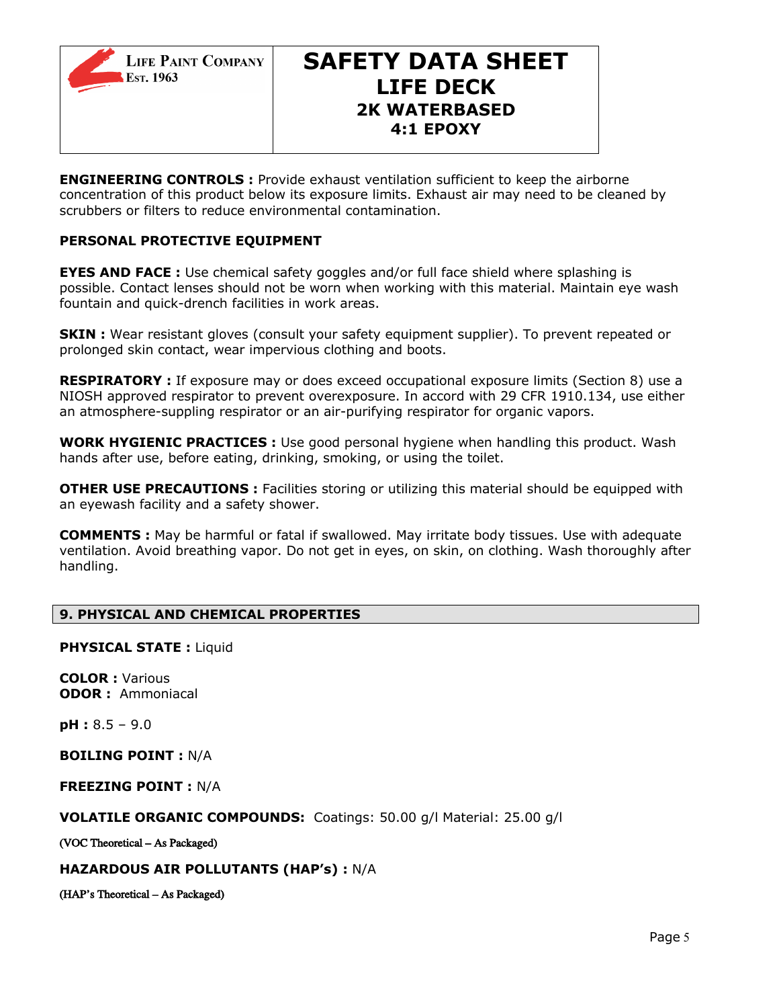

**ENGINEERING CONTROLS :** Provide exhaust ventilation sufficient to keep the airborne concentration of this product below its exposure limits. Exhaust air may need to be cleaned by scrubbers or filters to reduce environmental contamination.

## **PERSONAL PROTECTIVE EQUIPMENT**

**EYES AND FACE :** Use chemical safety goggles and/or full face shield where splashing is possible. Contact lenses should not be worn when working with this material. Maintain eye wash fountain and quick-drench facilities in work areas.

**SKIN :** Wear resistant gloves (consult your safety equipment supplier). To prevent repeated or prolonged skin contact, wear impervious clothing and boots.

**RESPIRATORY :** If exposure may or does exceed occupational exposure limits (Section 8) use a NIOSH approved respirator to prevent overexposure. In accord with 29 CFR 1910.134, use either an atmosphere-suppling respirator or an air-purifying respirator for organic vapors.

**WORK HYGIENIC PRACTICES :** Use good personal hygiene when handling this product. Wash hands after use, before eating, drinking, smoking, or using the toilet.

**OTHER USE PRECAUTIONS :** Facilities storing or utilizing this material should be equipped with an eyewash facility and a safety shower.

**COMMENTS :** May be harmful or fatal if swallowed. May irritate body tissues. Use with adequate ventilation. Avoid breathing vapor. Do not get in eyes, on skin, on clothing. Wash thoroughly after handling.

## **9. PHYSICAL AND CHEMICAL PROPERTIES**

**PHYSICAL STATE :** Liquid

**COLOR :** Various **ODOR :** Ammoniacal

**pH :** 8.5 – 9.0

**BOILING POINT :** N/A

**FREEZING POINT :** N/A

**VOLATILE ORGANIC COMPOUNDS:** Coatings: 50.00 g/l Material: 25.00 g/l

(VOC Theoretical – As Packaged)

#### **HAZARDOUS AIR POLLUTANTS (HAP's) :** N/A

(HAP's Theoretical – As Packaged)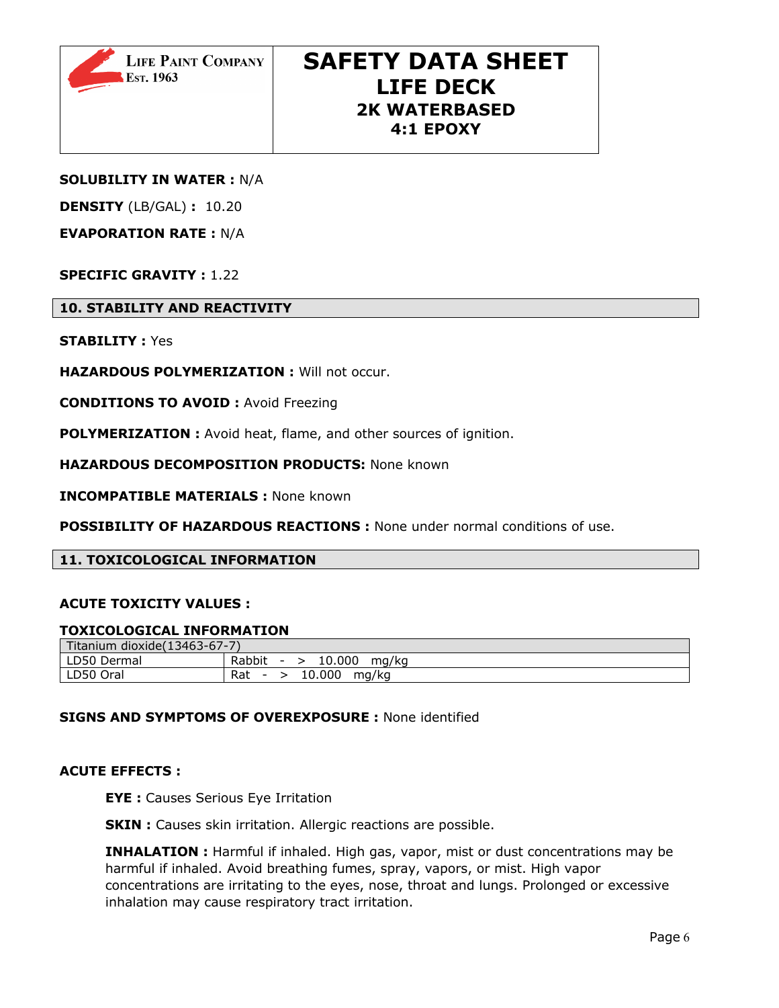

## **SOLUBILITY IN WATER :** N/A

**DENSITY** (LB/GAL) **:** 10.20

**EVAPORATION RATE :** N/A

**SPECIFIC GRAVITY :** 1.22

**10. STABILITY AND REACTIVITY**

**STABILITY :** Yes

**HAZARDOUS POLYMERIZATION :** Will not occur.

**CONDITIONS TO AVOID :** Avoid Freezing

**POLYMERIZATION :** Avoid heat, flame, and other sources of ignition.

**HAZARDOUS DECOMPOSITION PRODUCTS:** None known

**INCOMPATIBLE MATERIALS :** None known

**POSSIBILITY OF HAZARDOUS REACTIONS :** None under normal conditions of use.

## **11. TOXICOLOGICAL INFORMATION**

## **ACUTE TOXICITY VALUES :**

#### **TOXICOLOGICAL INFORMATION**

| Titanium<br>dioxide(13463-67-1 | <u>— т</u>                     |
|--------------------------------|--------------------------------|
| LD50 Dermal                    | mg/kg<br>10.000<br>Rabbit<br>- |
| LD50 Oral                      | mg/kg<br>10.000<br>Rat<br>-    |

#### **SIGNS AND SYMPTOMS OF OVEREXPOSURE :** None identified

#### **ACUTE EFFECTS :**

**EYE :** Causes Serious Eye Irritation

**SKIN :** Causes skin irritation. Allergic reactions are possible.

**INHALATION :** Harmful if inhaled. High gas, vapor, mist or dust concentrations may be harmful if inhaled. Avoid breathing fumes, spray, vapors, or mist. High vapor concentrations are irritating to the eyes, nose, throat and lungs. Prolonged or excessive inhalation may cause respiratory tract irritation.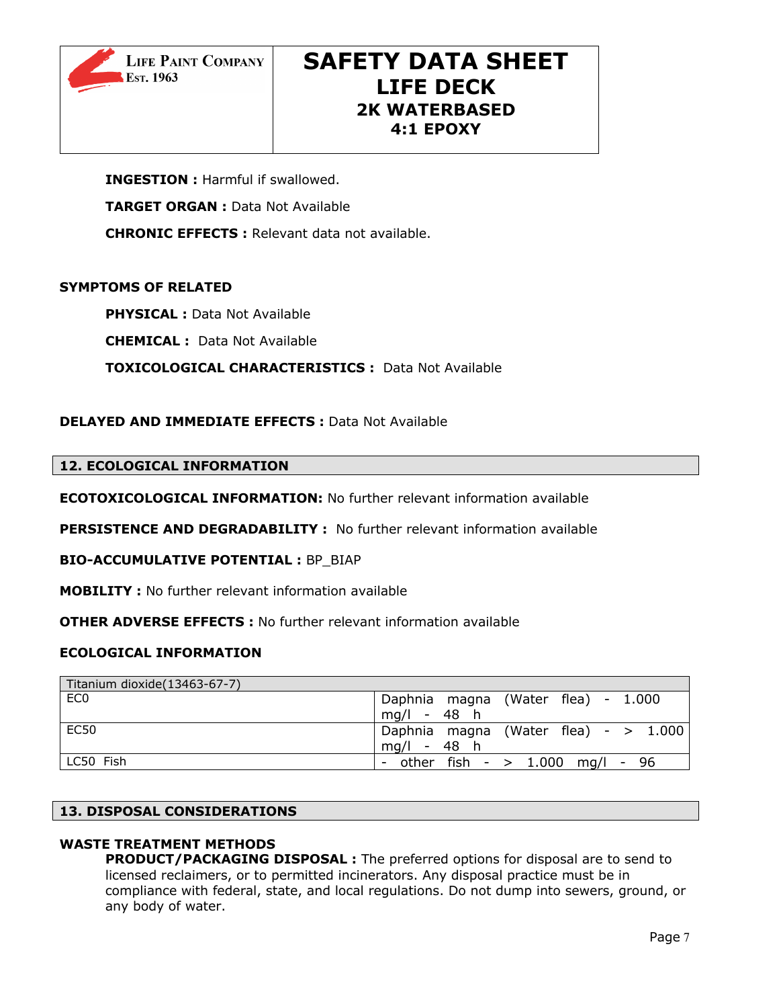

**INGESTION :** Harmful if swallowed.

**TARGET ORGAN :** Data Not Available

**CHRONIC EFFECTS :** Relevant data not available.

# **SYMPTOMS OF RELATED**

**PHYSICAL :** Data Not Available

**CHEMICAL :** Data Not Available

**TOXICOLOGICAL CHARACTERISTICS :** Data Not Available

# **DELAYED AND IMMEDIATE EFFECTS :** Data Not Available

**12. ECOLOGICAL INFORMATION**

**ECOTOXICOLOGICAL INFORMATION:** No further relevant information available

**PERSISTENCE AND DEGRADABILITY :** No further relevant information available

## **BIO-ACCUMULATIVE POTENTIAL :** BP\_BIAP

**MOBILITY :** No further relevant information available

**OTHER ADVERSE EFFECTS :** No further relevant information available

## **ECOLOGICAL INFORMATION**

| Titanium dioxide(13463-67-7) |               |                                        |
|------------------------------|---------------|----------------------------------------|
| EC <sub>0</sub>              |               | Daphnia magna (Water flea) - 1.000     |
|                              | $mq/l - 48 h$ |                                        |
| <b>EC50</b>                  |               | Daphnia magna (Water flea) $-$ > 1.000 |
|                              | $mq/l - 48 h$ |                                        |
| LC50 Fish                    |               | other fish $ >$ 1.000 mg/l $-$ 96      |

# **13. DISPOSAL CONSIDERATIONS**

# **WASTE TREATMENT METHODS**

**PRODUCT/PACKAGING DISPOSAL :** The preferred options for disposal are to send to licensed reclaimers, or to permitted incinerators. Any disposal practice must be in compliance with federal, state, and local regulations. Do not dump into sewers, ground, or any body of water.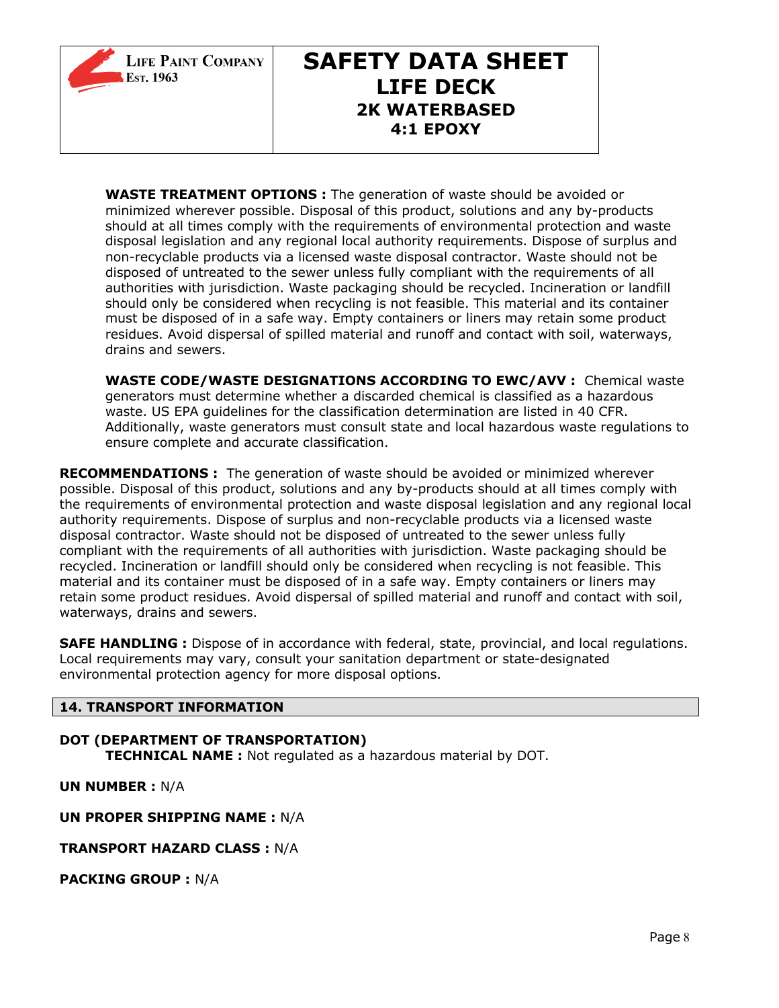

**WASTE TREATMENT OPTIONS :** The generation of waste should be avoided or minimized wherever possible. Disposal of this product, solutions and any by-products should at all times comply with the requirements of environmental protection and waste disposal legislation and any regional local authority requirements. Dispose of surplus and non-recyclable products via a licensed waste disposal contractor. Waste should not be disposed of untreated to the sewer unless fully compliant with the requirements of all authorities with jurisdiction. Waste packaging should be recycled. Incineration or landfill should only be considered when recycling is not feasible. This material and its container must be disposed of in a safe way. Empty containers or liners may retain some product residues. Avoid dispersal of spilled material and runoff and contact with soil, waterways, drains and sewers.

**WASTE CODE/WASTE DESIGNATIONS ACCORDING TO EWC/AVV :** Chemical waste generators must determine whether a discarded chemical is classified as a hazardous waste. US EPA guidelines for the classification determination are listed in 40 CFR. Additionally, waste generators must consult state and local hazardous waste regulations to ensure complete and accurate classification.

**RECOMMENDATIONS :** The generation of waste should be avoided or minimized wherever possible. Disposal of this product, solutions and any by-products should at all times comply with the requirements of environmental protection and waste disposal legislation and any regional local authority requirements. Dispose of surplus and non-recyclable products via a licensed waste disposal contractor. Waste should not be disposed of untreated to the sewer unless fully compliant with the requirements of all authorities with jurisdiction. Waste packaging should be recycled. Incineration or landfill should only be considered when recycling is not feasible. This material and its container must be disposed of in a safe way. Empty containers or liners may retain some product residues. Avoid dispersal of spilled material and runoff and contact with soil, waterways, drains and sewers.

**SAFE HANDLING :** Dispose of in accordance with federal, state, provincial, and local regulations. Local requirements may vary, consult your sanitation department or state-designated environmental protection agency for more disposal options.

## **14. TRANSPORT INFORMATION**

## **DOT (DEPARTMENT OF TRANSPORTATION)**

**TECHNICAL NAME :** Not regulated as a hazardous material by DOT.

**UN NUMBER :** N/A

**UN PROPER SHIPPING NAME :** N/A

**TRANSPORT HAZARD CLASS :** N/A

**PACKING GROUP :** N/A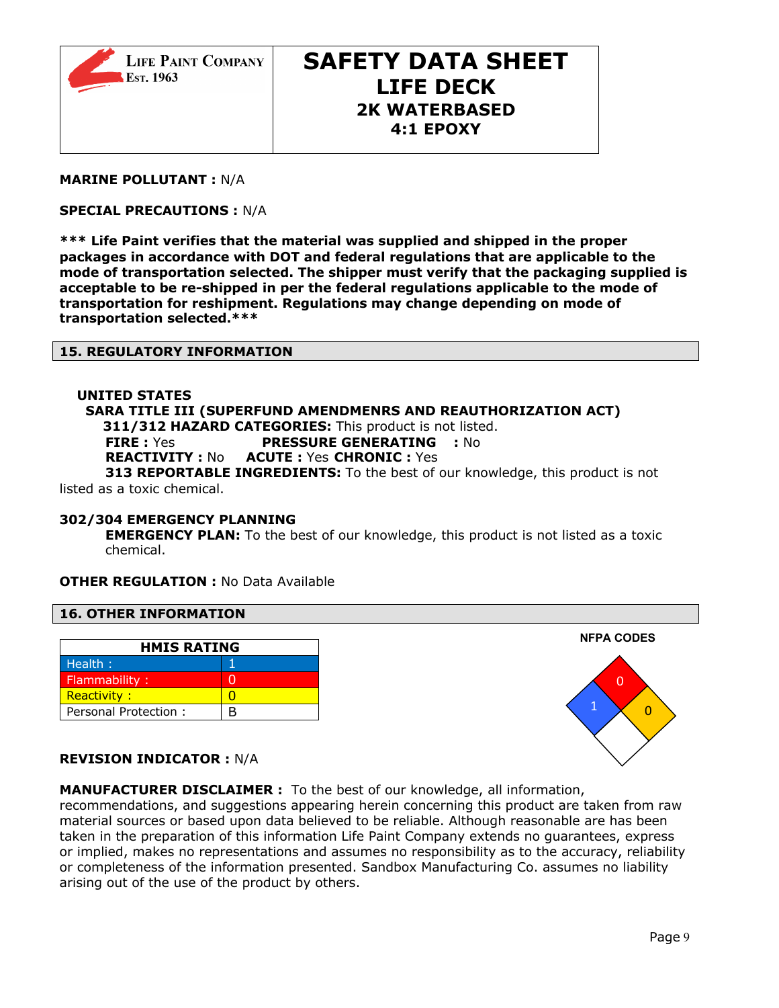

## **MARINE POLLUTANT :** N/A

## **SPECIAL PRECAUTIONS :** N/A

**\*\*\* Life Paint verifies that the material was supplied and shipped in the proper packages in accordance with DOT and federal regulations that are applicable to the mode of transportation selected. The shipper must verify that the packaging supplied is acceptable to be re-shipped in per the federal regulations applicable to the mode of transportation for reshipment. Regulations may change depending on mode of transportation selected.\*\*\***

# **15. REGULATORY INFORMATION**

## **UNITED STATES SARA TITLE III (SUPERFUND AMENDMENRS AND REAUTHORIZATION ACT) 311/312 HAZARD CATEGORIES:** This product is not listed. **FIRE :** Yes **PRESSURE GENERATING :** No **REACTIVITY :** No **ACUTE :** Yes **CHRONIC :** Yes  **313 REPORTABLE INGREDIENTS:** To the best of our knowledge, this product is not

listed as a toxic chemical.

## **302/304 EMERGENCY PLANNING**

**EMERGENCY PLAN:** To the best of our knowledge, this product is not listed as a toxic chemical.

## **OTHER REGULATION :** No Data Available

#### **16. OTHER INFORMATION**

| <b>HMIS RATING</b>   |   |  |
|----------------------|---|--|
| Health:              |   |  |
| Flammability:        |   |  |
| <b>Reactivity:</b>   |   |  |
| Personal Protection: | R |  |



## **REVISION INDICATOR :** N/A

**MANUFACTURER DISCLAIMER :** To the best of our knowledge, all information, recommendations, and suggestions appearing herein concerning this product are taken from raw material sources or based upon data believed to be reliable. Although reasonable are has been taken in the preparation of this information Life Paint Company extends no guarantees, express or implied, makes no representations and assumes no responsibility as to the accuracy, reliability or completeness of the information presented. Sandbox Manufacturing Co. assumes no liability arising out of the use of the product by others.